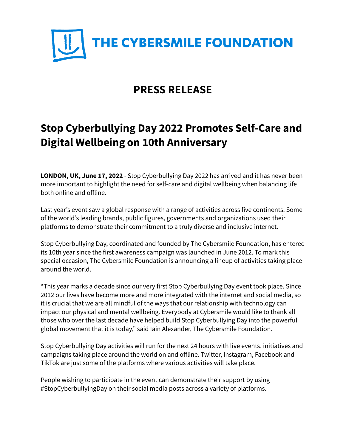

# **PRESS RELEASE**

# **Stop Cyberbullying Day 2022 Promotes Self-Care and Digital Wellbeing on 10th Anniversary**

**LONDON, UK, June 17, 2022** - Stop Cyberbullying Day 2022 has arrived and it has never been more important to highlight the need for self-care and digital wellbeing when balancing life both online and offline.

Last year's event saw a global response with a range of activities across five continents. Some of the world's leading brands, public figures, governments and organizations used their platforms to demonstrate their commitment to a truly diverse and inclusive internet.

Stop Cyberbullying Day, coordinated and founded by The Cybersmile Foundation, has entered its 10th year since the first awareness campaign was launched in June 2012. To mark this special occasion, The Cybersmile Foundation is announcing a lineup of activities taking place around the world.

"This year marks a decade since our very first Stop Cyberbullying Day event took place. Since 2012 our lives have become more and more integrated with the internet and social media, so it is crucial that we are all mindful of the ways that our relationship with technology can impact our physical and mental wellbeing. Everybody at Cybersmile would like to thank all those who over the last decade have helped build Stop Cyberbullying Day into the powerful global movement that it is today," said Iain Alexander, The Cybersmile Foundation.

Stop Cyberbullying Day activities will run for the next 24 hours with live events, initiatives and campaigns taking place around the world on and offline. Twitter, Instagram, Facebook and TikTok are just some of the platforms where various activities will take place.

People wishing to participate in the event can demonstrate their support by using #StopCyberbullyingDay on their social media posts across a variety of platforms.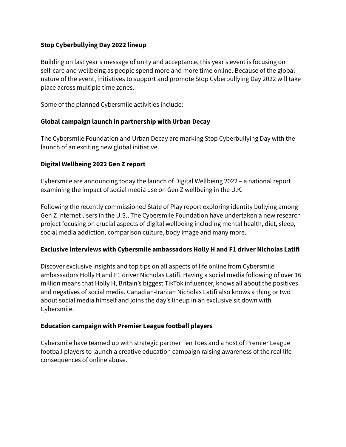# **Stop Cyberbullying Day 2022 lineup**

Building on last year's message of unity and acceptance, this year's event is focusing on self-care and wellbeing as people spend more and more time online. Because of the global nature of the event, initiatives to support and promote Stop Cyberbullying Day 2022 will take place across multiple time zones.

Some of the planned Cybersmile activities include:

### **Global campaign launch in partnership with Urban Decay**

The Cybersmile Foundation and Urban Decay are marking Stop Cyberbullying Day with the launch of an exciting new global initiative.

# **Digital Wellbeing 2022 Gen Z report**

Cybersmile are announcing today the launch of Digital Wellbeing 2022 – a national report examining the impact of social media use on Gen Z wellbeing in the U.K.

Following the recently commissioned State of Play report exploring identity bullying among Gen Z internet users in the U.S., The Cybersmile Foundation have undertaken a new research project focusing on crucial aspects of digital wellbeing including mental health, diet, sleep, social media addiction, comparison culture, body image and many more.

### **Exclusive interviews with Cybersmile ambassadors Holly H and F1 driver Nicholas Latifi**

Discover exclusive insights and top tips on all aspects of life online from Cybersmile ambassadors Holly H and F1 driver Nicholas Latifi. Having a social media following of over 16 million means that Holly H, Britain's biggest TikTok influencer, knows all about the positives and negatives of social media. Canadian-Iranian Nicholas Latifi also knows a thing or two about social media himself and joins the day's lineup in an exclusive sit down with Cybersmile.

### **Education campaign with Premier League football players**

Cybersmile have teamed up with strategic partner Ten Toes and a host of Premier League football players to launch a creative education campaign raising awareness of the real life consequences of online abuse.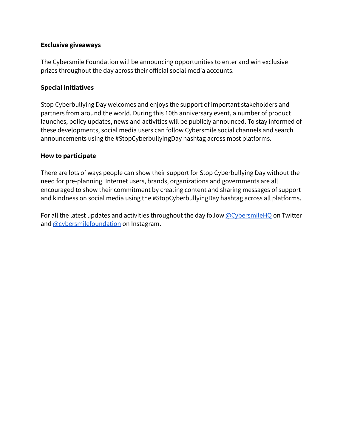# **Exclusive giveaways**

The Cybersmile Foundation will be announcing opportunities to enter and win exclusive prizes throughout the day across their official social media accounts.

## **Special initiatives**

Stop Cyberbullying Day welcomes and enjoys the support of important stakeholders and partners from around the world. During this 10th anniversary event, a number of product launches, policy updates, news and activities will be publicly announced. To stay informed of these developments, social media users can follow Cybersmile social channels and search announcements using the #StopCyberbullyingDay hashtag across most platforms.

### **How to participate**

There are lots of ways people can show their support for Stop Cyberbullying Day without the need for pre-planning. Internet users, brands, organizations and governments are all encouraged to show their commitment by creating content and sharing messages of support and kindness on social media using the #StopCyberbullyingDay hashtag across all platforms.

For all the latest updates and activities throughout the day follow  $@CybersmileHO$  on Twitter and [@cybersmilefoundation](https://instagram.com/cybersmilefoundation) on Instagram.